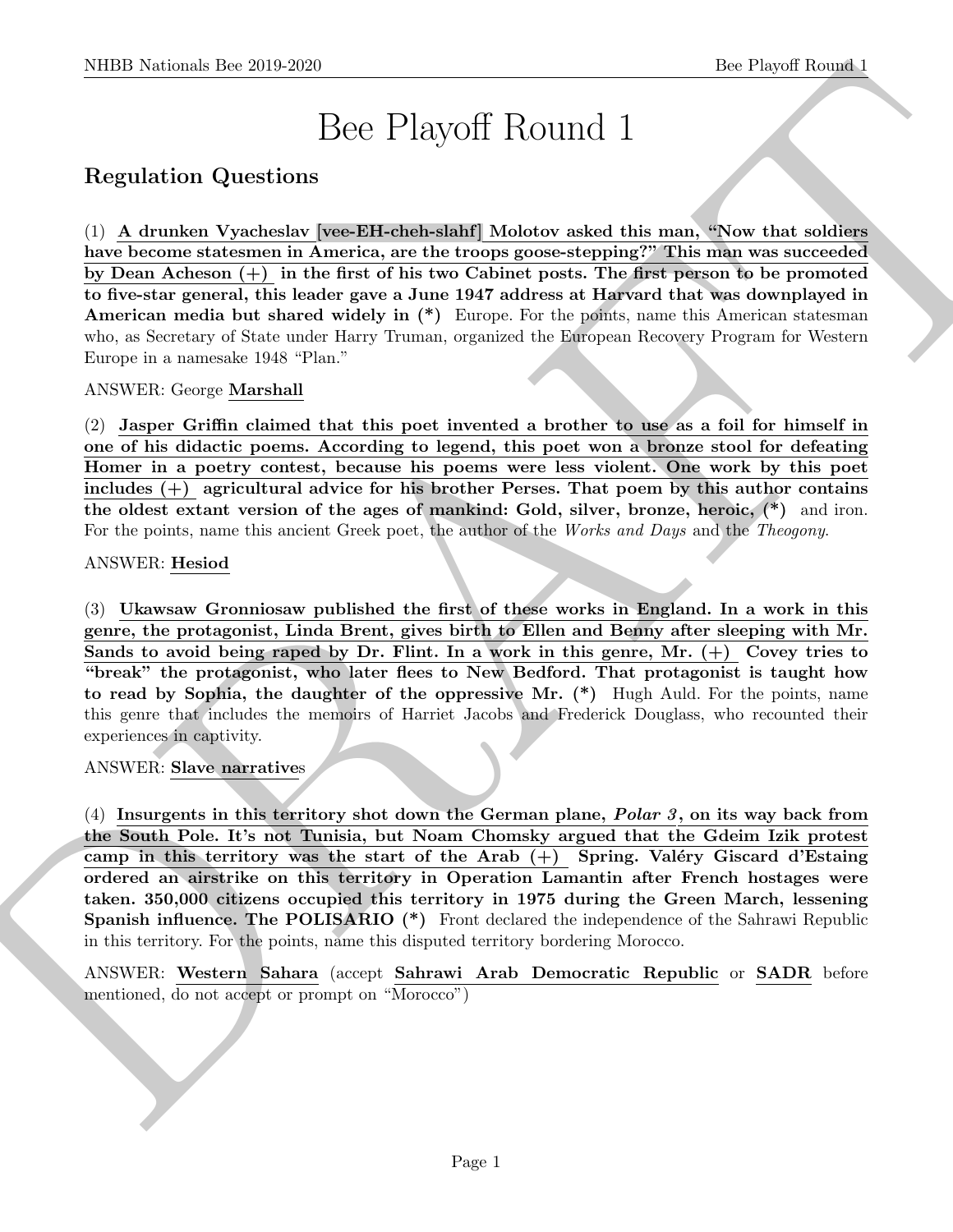# Bee Playoff Round 1

# Regulation Questions

SIDDI Notional- the 20.9.269<br>
<br>
Bec Playoff Round 1<br>
Bec Playoff Round 1<br>
Degretation Questions<br>
(1) A demands Vascalentos were Ellisted and Moletow aded this man, "Now that solidate<br>
the become statement in America, are  $(1)$  A drunken Vyacheslav [vee-EH-cheh-slahf] Molotov asked this man, "Now that soldiers have become statesmen in America, are the troops goose-stepping?" This man was succeeded by Dean Acheson (+) in the first of his two Cabinet posts. The first person to be promoted to five-star general, this leader gave a June 1947 address at Harvard that was downplayed in American media but shared widely in (\*) Europe. For the points, name this American statesman who, as Secretary of State under Harry Truman, organized the European Recovery Program for Western Europe in a namesake 1948 "Plan."

ANSWER: George Marshall

(2) Jasper Griffin claimed that this poet invented a brother to use as a foil for himself in one of his didactic poems. According to legend, this poet won a bronze stool for defeating Homer in a poetry contest, because his poems were less violent. One work by this poet includes  $(+)$  agricultural advice for his brother Perses. That poem by this author contains the oldest extant version of the ages of mankind: Gold, silver, bronze, heroic, (\*) and iron. For the points, name this ancient Greek poet, the author of the Works and Days and the Theogony.

#### ANSWER: Hesiod

(3) Ukawsaw Gronniosaw published the first of these works in England. In a work in this genre, the protagonist, Linda Brent, gives birth to Ellen and Benny after sleeping with Mr. Sands to avoid being raped by Dr. Flint. In a work in this genre, Mr.  $(+)$  Covey tries to "break" the protagonist, who later flees to New Bedford. That protagonist is taught how to read by Sophia, the daughter of the oppressive Mr. (\*) Hugh Auld. For the points, name this genre that includes the memoirs of Harriet Jacobs and Frederick Douglass, who recounted their experiences in captivity.

#### ANSWER: Slave narratives

(4) Insurgents in this territory shot down the German plane, Polar 3, on its way back from the South Pole. It's not Tunisia, but Noam Chomsky argued that the Gdeim Izik protest camp in this territory was the start of the Arab  $(+)$  Spring. Valéry Giscard d'Estaing ordered an airstrike on this territory in Operation Lamantin after French hostages were taken. 350,000 citizens occupied this territory in 1975 during the Green March, lessening Spanish influence. The POLISARIO (\*) Front declared the independence of the Sahrawi Republic in this territory. For the points, name this disputed territory bordering Morocco.

ANSWER: Western Sahara (accept Sahrawi Arab Democratic Republic or SADR before mentioned, do not accept or prompt on "Morocco")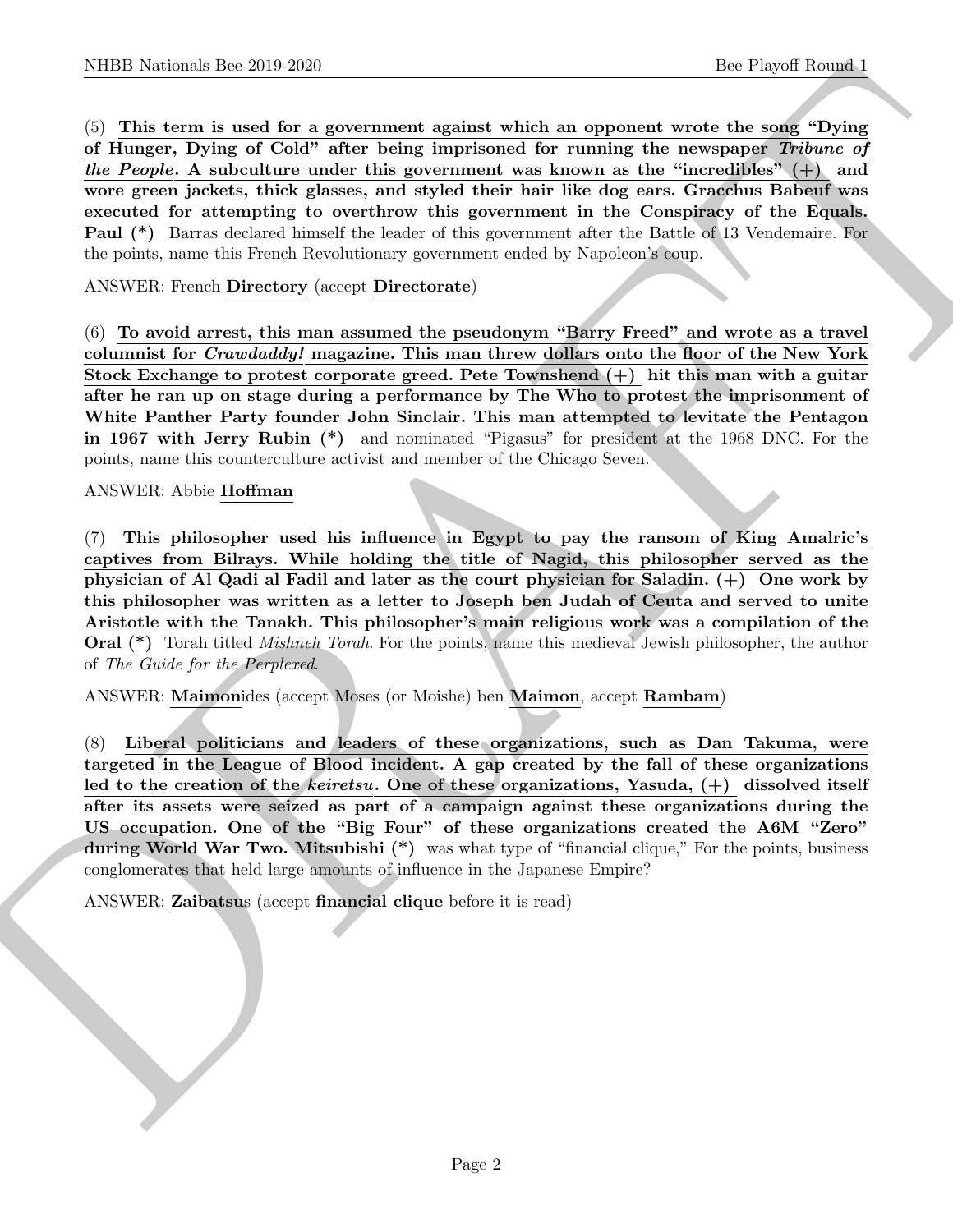NIBB Noticeals lies 200 3269<br>(b) This term is tend for a government signing which an opporent we have the use of the property form of<br> $\alpha$  Theory. Dying of Cold" where here in properties for any interest of the law<br>of the (5) This term is used for a government against which an opponent wrote the song "Dying of Hunger, Dying of Cold" after being imprisoned for running the newspaper Tribune of the People. A subculture under this government was known as the "incredibles"  $(+)$  and wore green jackets, thick glasses, and styled their hair like dog ears. Gracchus Babeuf was executed for attempting to overthrow this government in the Conspiracy of the Equals. Paul (\*) Barras declared himself the leader of this government after the Battle of 13 Vendemaire. For the points, name this French Revolutionary government ended by Napoleon's coup.

# ANSWER: French Directory (accept Directorate)

(6) To avoid arrest, this man assumed the pseudonym "Barry Freed" and wrote as a travel columnist for *Crawdaddy!* magazine. This man threw dollars onto the floor of the New York Stock Exchange to protest corporate greed. Pete Townshend  $(+)$  hit this man with a guitar after he ran up on stage during a performance by The Who to protest the imprisonment of White Panther Party founder John Sinclair. This man attempted to levitate the Pentagon in 1967 with Jerry Rubin (\*) and nominated "Pigasus" for president at the 1968 DNC. For the points, name this counterculture activist and member of the Chicago Seven.

#### ANSWER: Abbie Hoffman

(7) This philosopher used his influence in Egypt to pay the ransom of King Amalric's captives from Bilrays. While holding the title of Nagid, this philosopher served as the physician of Al Qadi al Fadil and later as the court physician for Saladin. (+) One work by this philosopher was written as a letter to Joseph ben Judah of Ceuta and served to unite Aristotle with the Tanakh. This philosopher's main religious work was a compilation of the Oral (\*) Torah titled Mishneh Torah. For the points, name this medieval Jewish philosopher, the author of The Guide for the Perplexed.

ANSWER: Maimonides (accept Moses (or Moishe) ben Maimon, accept Rambam)

(8) Liberal politicians and leaders of these organizations, such as Dan Takuma, were targeted in the League of Blood incident. A gap created by the fall of these organizations led to the creation of the keiretsu. One of these organizations, Yasuda,  $(+)$  dissolved itself after its assets were seized as part of a campaign against these organizations during the US occupation. One of the "Big Four" of these organizations created the A6M "Zero" during World War Two. Mitsubishi (\*) was what type of "financial clique," For the points, business conglomerates that held large amounts of influence in the Japanese Empire?

ANSWER: Zaibatsus (accept financial clique before it is read)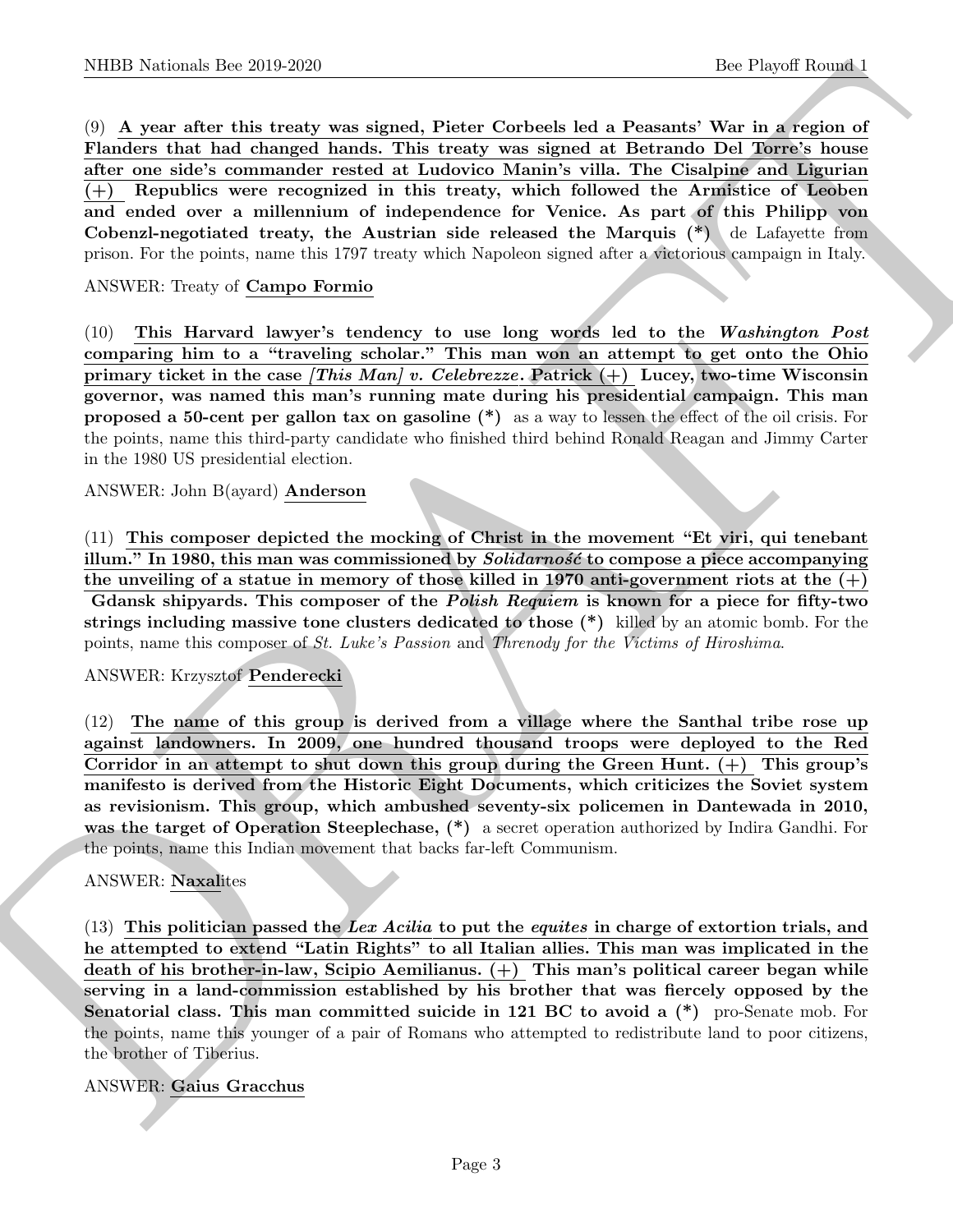NIBED Noticeals line 2019-2020<br>
(b) A sympatories that a theoretical state of the sympatories field a Pensant View in A results of the Sympatories of the Channel Control and Channel State of the Channel Control and Channe (9) A year after this treaty was signed, Pieter Corbeels led a Peasants' War in a region of Flanders that had changed hands. This treaty was signed at Betrando Del Torre's house after one side's commander rested at Ludovico Manin's villa. The Cisalpine and Ligurian (+) Republics were recognized in this treaty, which followed the Armistice of Leoben and ended over a millennium of independence for Venice. As part of this Philipp von Cobenzl-negotiated treaty, the Austrian side released the Marquis (\*) de Lafayette from prison. For the points, name this 1797 treaty which Napoleon signed after a victorious campaign in Italy.

# ANSWER: Treaty of Campo Formio

(10) This Harvard lawyer's tendency to use long words led to the Washington Post comparing him to a "traveling scholar." This man won an attempt to get onto the Ohio primary ticket in the case [This Man] v. Celebrezze. Patrick  $(+)$  Lucey, two-time Wisconsin governor, was named this man's running mate during his presidential campaign. This man proposed a 50-cent per gallon tax on gasoline (\*) as a way to lessen the effect of the oil crisis. For the points, name this third-party candidate who finished third behind Ronald Reagan and Jimmy Carter in the 1980 US presidential election.

#### ANSWER: John B(ayard) Anderson

(11) This composer depicted the mocking of Christ in the movement "Et viri, qui tenebant illum." In 1980, this man was commissioned by  $\it Solidarnos\acute{c}$  to compose a piece accompanying the unveiling of a statue in memory of those killed in 1970 anti-government riots at the  $(+)$ Gdansk shipyards. This composer of the *Polish Requiem* is known for a piece for fifty-two strings including massive tone clusters dedicated to those (\*) killed by an atomic bomb. For the points, name this composer of St. Luke's Passion and Threnody for the Victims of Hiroshima.

#### ANSWER: Krzysztof Penderecki

(12) The name of this group is derived from a village where the Santhal tribe rose up against landowners. In 2009, one hundred thousand troops were deployed to the Red Corridor in an attempt to shut down this group during the Green Hunt.  $(+)$  This group's manifesto is derived from the Historic Eight Documents, which criticizes the Soviet system as revisionism. This group, which ambushed seventy-six policemen in Dantewada in 2010, was the target of Operation Steeplechase,  $(*)$  a secret operation authorized by Indira Gandhi. For the points, name this Indian movement that backs far-left Communism.

# ANSWER: Naxalites

 $(13)$  This politician passed the Lex Acilia to put the equites in charge of extortion trials, and he attempted to extend "Latin Rights" to all Italian allies. This man was implicated in the death of his brother-in-law, Scipio Aemilianus. (+) This man's political career began while serving in a land-commission established by his brother that was fiercely opposed by the Senatorial class. This man committed suicide in 121 BC to avoid a  $(*)$  pro-Senate mob. For the points, name this younger of a pair of Romans who attempted to redistribute land to poor citizens, the brother of Tiberius.

# ANSWER: Gaius Gracchus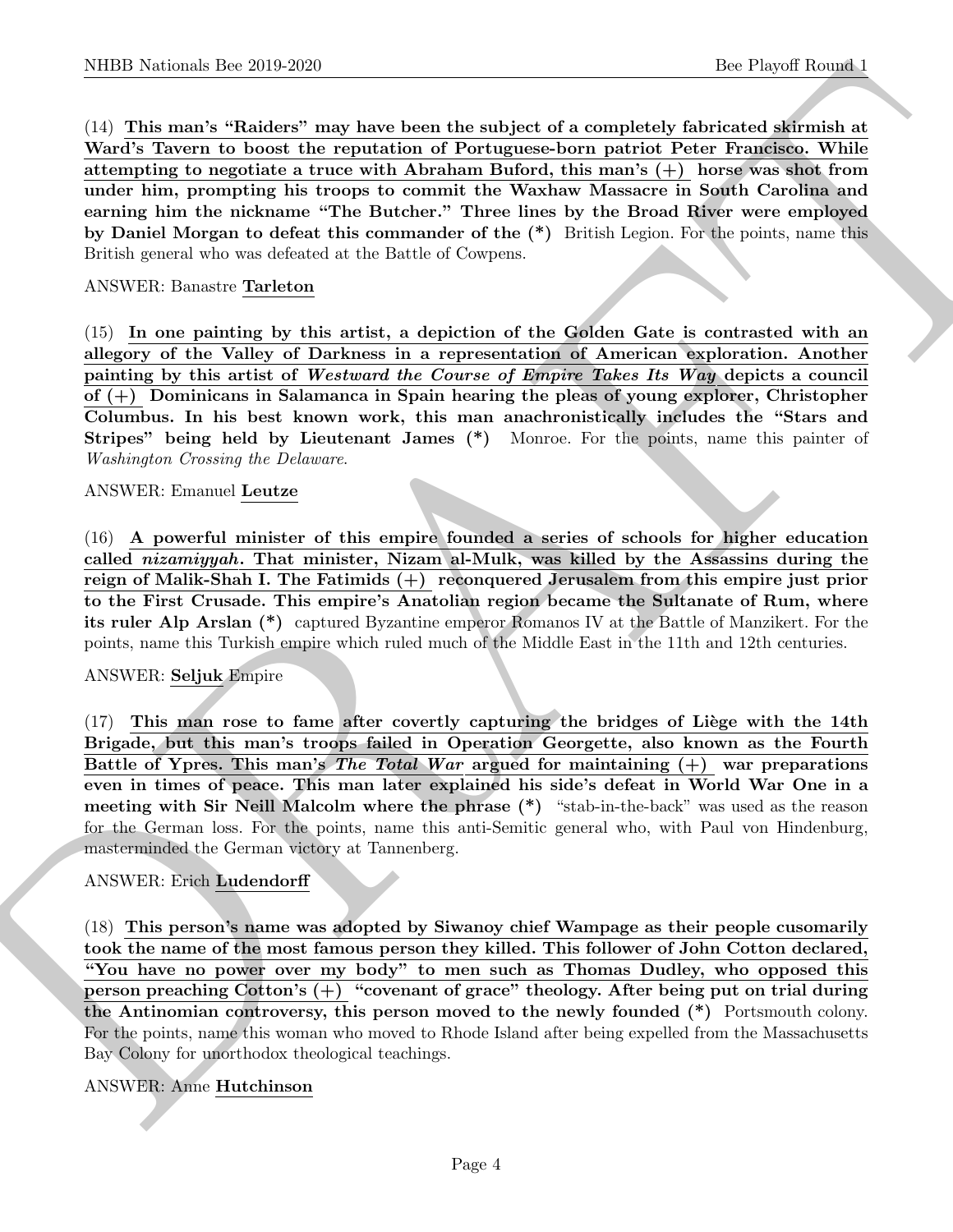NIBB Noticeal- line 20.9.269<br>
(b) The Bautan in Statistics may have been the subject of a completely factorial formula and<br>
(d) This may have been the strengthen and subject of a completely factorial statistical<br>
Morels T (14) This man's "Raiders" may have been the subject of a completely fabricated skirmish at Ward's Tavern to boost the reputation of Portuguese-born patriot Peter Francisco. While attempting to negotiate a truce with Abraham Buford, this man's (+) horse was shot from under him, prompting his troops to commit the Waxhaw Massacre in South Carolina and earning him the nickname "The Butcher." Three lines by the Broad River were employed by Daniel Morgan to defeat this commander of the (\*) British Legion. For the points, name this British general who was defeated at the Battle of Cowpens.

## ANSWER: Banastre Tarleton

(15) In one painting by this artist, a depiction of the Golden Gate is contrasted with an allegory of the Valley of Darkness in a representation of American exploration. Another painting by this artist of Westward the Course of Empire Takes Its Way depicts a council of (+) Dominicans in Salamanca in Spain hearing the pleas of young explorer, Christopher Columbus. In his best known work, this man anachronistically includes the "Stars and Stripes" being held by Lieutenant James (\*) Monroe. For the points, name this painter of Washington Crossing the Delaware.

# ANSWER: Emanuel Leutze

(16) A powerful minister of this empire founded a series of schools for higher education called *nizamiyyah*. That minister, Nizam al-Mulk, was killed by the Assassins during the reign of Malik-Shah I. The Fatimids (+) reconquered Jerusalem from this empire just prior to the First Crusade. This empire's Anatolian region became the Sultanate of Rum, where its ruler Alp Arslan (\*) captured Byzantine emperor Romanos IV at the Battle of Manzikert. For the points, name this Turkish empire which ruled much of the Middle East in the 11th and 12th centuries.

# ANSWER: Seljuk Empire

 $(17)$  This man rose to fame after covertly capturing the bridges of Liège with the 14th Brigade, but this man's troops failed in Operation Georgette, also known as the Fourth Battle of Ypres. This man's The Total War argued for maintaining  $(+)$  war preparations even in times of peace. This man later explained his side's defeat in World War One in a meeting with Sir Neill Malcolm where the phrase  $(*)$  "stab-in-the-back" was used as the reason for the German loss. For the points, name this anti-Semitic general who, with Paul von Hindenburg, masterminded the German victory at Tannenberg.

# ANSWER: Erich Ludendorff

(18) This person's name was adopted by Siwanoy chief Wampage as their people cusomarily took the name of the most famous person they killed. This follower of John Cotton declared, "You have no power over my body" to men such as Thomas Dudley, who opposed this person preaching Cotton's (+) "covenant of grace" theology. After being put on trial during the Antinomian controversy, this person moved to the newly founded (\*) Portsmouth colony. For the points, name this woman who moved to Rhode Island after being expelled from the Massachusetts Bay Colony for unorthodox theological teachings.

# ANSWER: Anne Hutchinson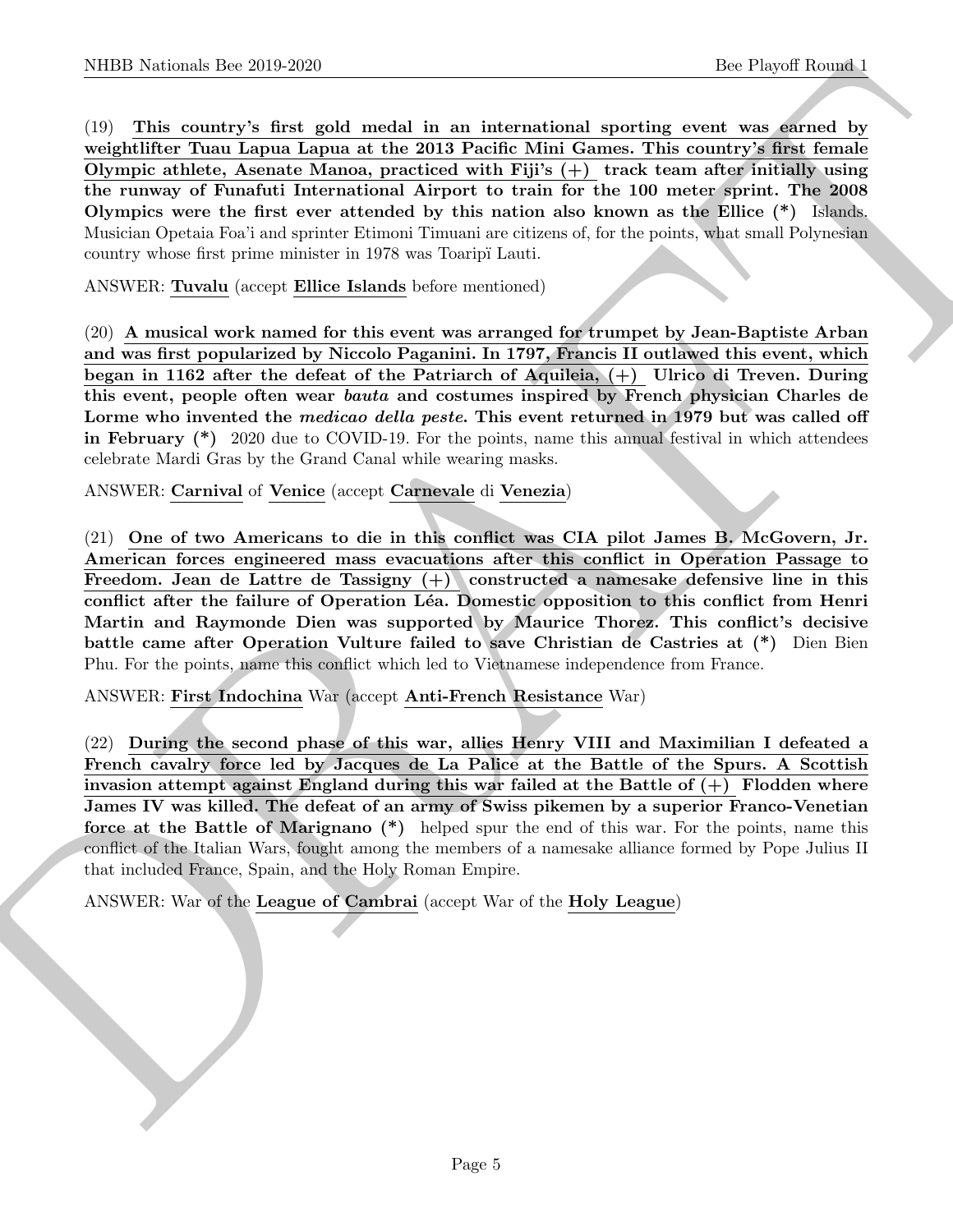NIBB Noticeals line 200 200<br>
(b) This could yet a line and international sporting the Player Rounds<br>
(d) This could yet a going with the contrast of the Player Christmas (see Fig. 1). This could be represented to<br>
Operati (19) This country's first gold medal in an international sporting event was earned by weightlifter Tuau Lapua Lapua at the 2013 Pacific Mini Games. This country's first female Olympic athlete, Asenate Manoa, practiced with Fiji's  $(+)$  track team after initially using the runway of Funafuti International Airport to train for the 100 meter sprint. The 2008 Olympics were the first ever attended by this nation also known as the Ellice (\*) Islands. Musician Opetaia Foa'i and sprinter Etimoni Timuani are citizens of, for the points, what small Polynesian country whose first prime minister in 1978 was Toaripï Lauti.

ANSWER: Tuvalu (accept Ellice Islands before mentioned)

(20) A musical work named for this event was arranged for trumpet by Jean-Baptiste Arban and was first popularized by Niccolo Paganini. In 1797, Francis II outlawed this event, which began in 1162 after the defeat of the Patriarch of Aquileia, (+) Ulrico di Treven. During this event, people often wear bauta and costumes inspired by French physician Charles de Lorme who invented the *medicao della peste*. This event returned in 1979 but was called off in February (\*) 2020 due to COVID-19. For the points, name this annual festival in which attendees celebrate Mardi Gras by the Grand Canal while wearing masks.

ANSWER: Carnival of Venice (accept Carnevale di Venezia)

(21) One of two Americans to die in this conflict was CIA pilot James B. McGovern, Jr. American forces engineered mass evacuations after this conflict in Operation Passage to Freedom. Jean de Lattre de Tassigny (+) constructed a namesake defensive line in this conflict after the failure of Operation Léa. Domestic opposition to this conflict from Henri Martin and Raymonde Dien was supported by Maurice Thorez. This conflict's decisive battle came after Operation Vulture failed to save Christian de Castries at (\*) Dien Bien Phu. For the points, name this conflict which led to Vietnamese independence from France.

ANSWER: First Indochina War (accept Anti-French Resistance War)

(22) During the second phase of this war, allies Henry VIII and Maximilian I defeated a French cavalry force led by Jacques de La Palice at the Battle of the Spurs. A Scottish invasion attempt against England during this war failed at the Battle of  $(+)$  Flodden where James IV was killed. The defeat of an army of Swiss pikemen by a superior Franco-Venetian force at the Battle of Marignano (\*) helped spur the end of this war. For the points, name this conflict of the Italian Wars, fought among the members of a namesake alliance formed by Pope Julius II that included France, Spain, and the Holy Roman Empire.

ANSWER: War of the League of Cambrai (accept War of the Holy League)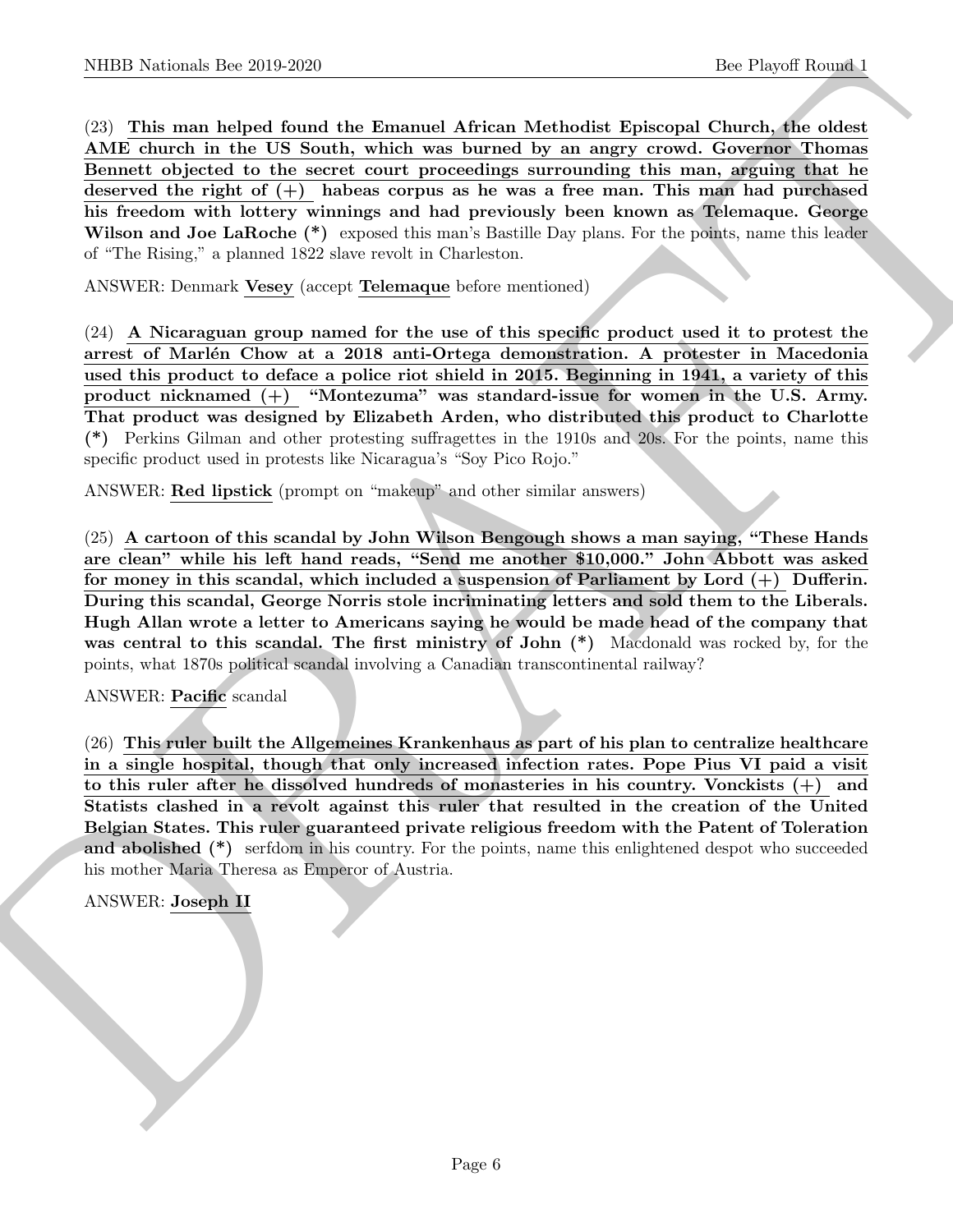(23) This man helped found the Emanuel African Methodist Episcopal Church, the oldest AME church in the US South, which was burned by an angry crowd. Governor Thomas Bennett objected to the secret court proceedings surrounding this man, arguing that he deserved the right of  $(+)$  habeas corpus as he was a free man. This man had purchased his freedom with lottery winnings and had previously been known as Telemaque. George Wilson and Joe LaRoche (\*) exposed this man's Bastille Day plans. For the points, name this leader of "The Rising," a planned 1822 slave revolt in Charleston.

ANSWER: Denmark Vesey (accept Telemaque before mentioned)

(24) A Nicaraguan group named for the use of this specific product used it to protest the arrest of Marlén Chow at a 2018 anti-Ortega demonstration. A protester in Macedonia used this product to deface a police riot shield in 2015. Beginning in 1941, a variety of this product nicknamed (+) "Montezuma" was standard-issue for women in the U.S. Army. That product was designed by Elizabeth Arden, who distributed this product to Charlotte (\*) Perkins Gilman and other protesting suffragettes in the 1910s and 20s. For the points, name this specific product used in protests like Nicaragua's "Soy Pico Rojo."

ANSWER: Red lipstick (prompt on "makeup" and other similar answers)

NIBB Notional- line 20.9.269<br>
(Sc Pleyerf Rounds) <br>
1bc Pleyerf Rounds)<br>
CS TOME simulation of the Banamed African Medavika Epireopal Church (and other and<br>
AME church in the U.S. South, which was burned by an angry cross (25) A cartoon of this scandal by John Wilson Bengough shows a man saying, "These Hands are clean" while his left hand reads, "Send me another \$10,000." John Abbott was asked for money in this scandal, which included a suspension of Parliament by Lord  $(+)$  Dufferin. During this scandal, George Norris stole incriminating letters and sold them to the Liberals. Hugh Allan wrote a letter to Americans saying he would be made head of the company that was central to this scandal. The first ministry of John  $(*)$  Macdonald was rocked by, for the points, what 1870s political scandal involving a Canadian transcontinental railway?

# ANSWER: Pacific scandal

(26) This ruler built the Allgemeines Krankenhaus as part of his plan to centralize healthcare in a single hospital, though that only increased infection rates. Pope Pius VI paid a visit to this ruler after he dissolved hundreds of monasteries in his country. Vonckists  $(+)$  and Statists clashed in a revolt against this ruler that resulted in the creation of the United Belgian States. This ruler guaranteed private religious freedom with the Patent of Toleration and abolished (\*) serfdom in his country. For the points, name this enlightened despot who succeeded his mother Maria Theresa as Emperor of Austria.

ANSWER: Joseph II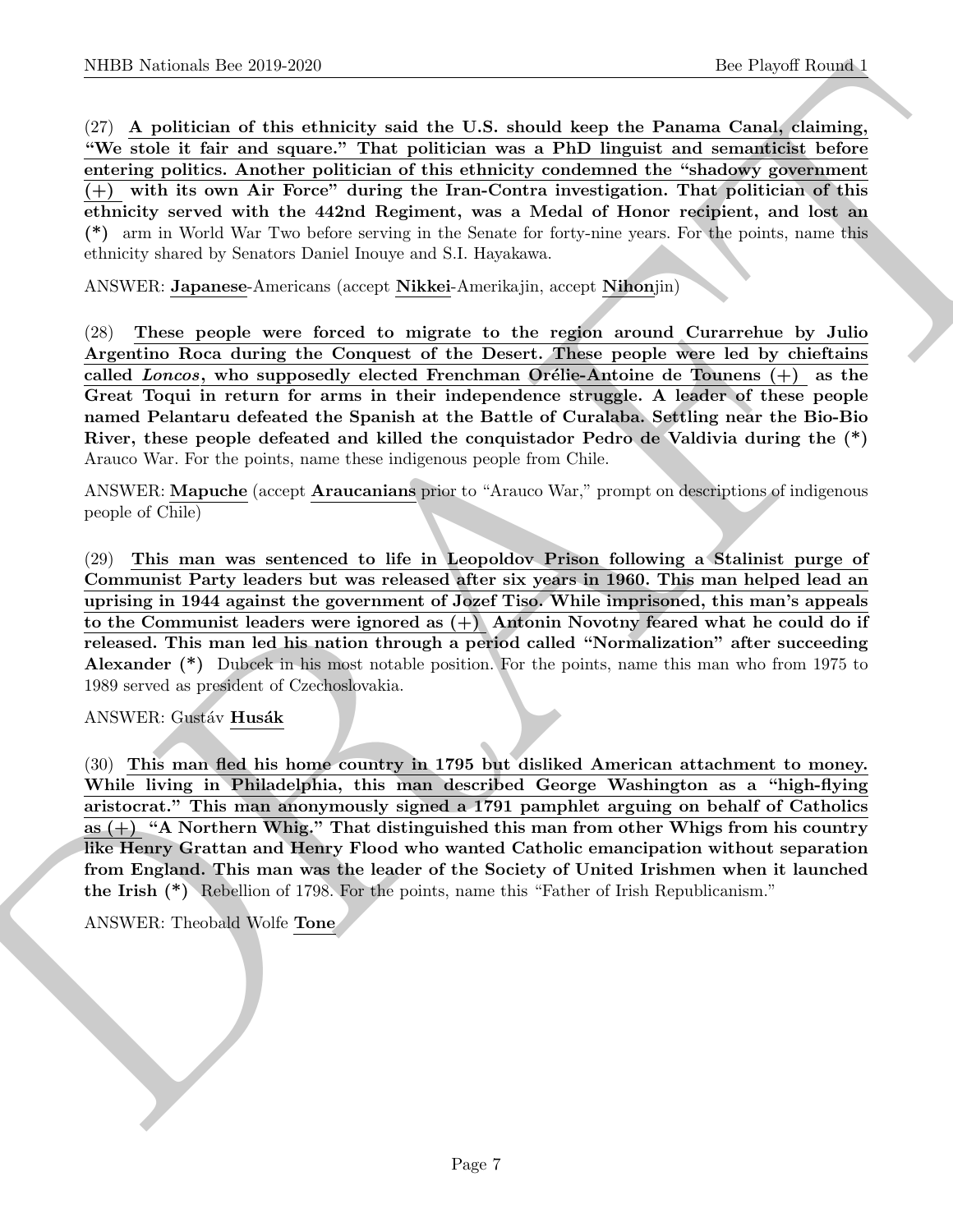NIBB Notional- line 20:0.269<br>
25: Now Markon (b) and the Ukrainity stati that U.S. should heap the Planetari dominal control in Nightsian of the Nightsian of the Nightsian of the Nightsian of the Nightsian of the Nightsia (27) A politician of this ethnicity said the U.S. should keep the Panama Canal, claiming, "We stole it fair and square." That politician was a PhD linguist and semanticist before entering politics. Another politician of this ethnicity condemned the "shadowy government (+) with its own Air Force" during the Iran-Contra investigation. That politician of this ethnicity served with the 442nd Regiment, was a Medal of Honor recipient, and lost an (\*) arm in World War Two before serving in the Senate for forty-nine years. For the points, name this ethnicity shared by Senators Daniel Inouye and S.I. Hayakawa.

ANSWER: Japanese-Americans (accept Nikkei-Amerikajin, accept Nihonjin)

(28) These people were forced to migrate to the region around Curarrehue by Julio Argentino Roca during the Conquest of the Desert. These people were led by chieftains called Loncos, who supposedly elected Frenchman Orélie-Antoine de Tounens  $(+)$  as the Great Toqui in return for arms in their independence struggle. A leader of these people named Pelantaru defeated the Spanish at the Battle of Curalaba. Settling near the Bio-Bio River, these people defeated and killed the conquistador Pedro de Valdivia during the (\*) Arauco War. For the points, name these indigenous people from Chile.

ANSWER: Mapuche (accept Araucanians prior to "Arauco War," prompt on descriptions of indigenous people of Chile)

(29) This man was sentenced to life in Leopoldov Prison following a Stalinist purge of Communist Party leaders but was released after six years in 1960. This man helped lead an uprising in 1944 against the government of Jozef Tiso. While imprisoned, this man's appeals to the Communist leaders were ignored as  $(+)$  Antonin Novotny feared what he could do if released. This man led his nation through a period called "Normalization" after succeeding Alexander (\*) Dubcek in his most notable position. For the points, name this man who from 1975 to 1989 served as president of Czechoslovakia.

ANSWER: Gustáv Husák

(30) This man fled his home country in 1795 but disliked American attachment to money. While living in Philadelphia, this man described George Washington as a "high-flying aristocrat." This man anonymously signed a 1791 pamphlet arguing on behalf of Catholics as  $(+)$  "A Northern Whig." That distinguished this man from other Whigs from his country like Henry Grattan and Henry Flood who wanted Catholic emancipation without separation from England. This man was the leader of the Society of United Irishmen when it launched the Irish (\*) Rebellion of 1798. For the points, name this "Father of Irish Republicanism."

ANSWER: Theobald Wolfe Tone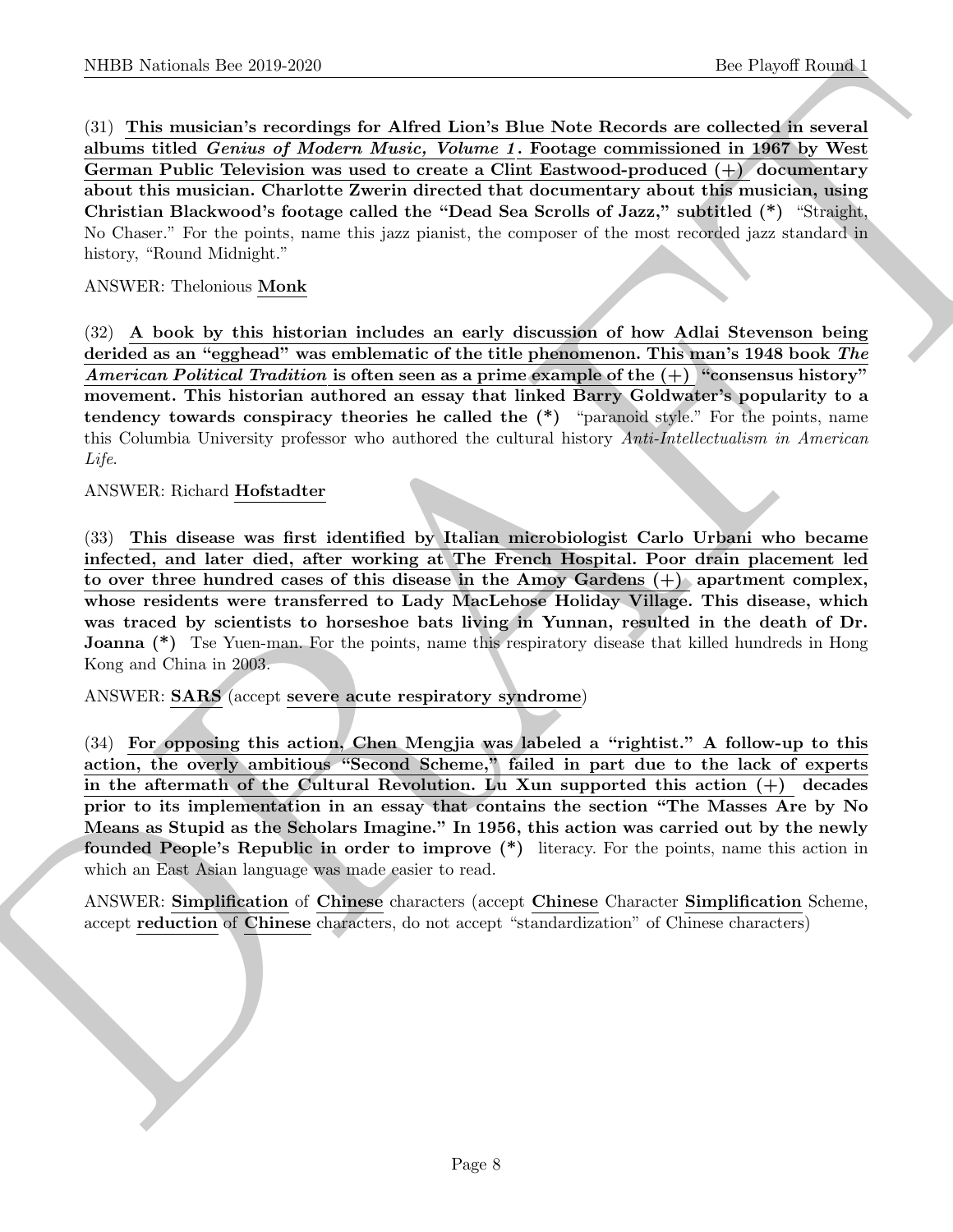NIBB Notional- the 20.9 269<br>
(3) This unider two continues for Affed Lion's Blue Note Betters are collected as well as<br>
(3) This unider the continues and the crisister. The contribution of the<br>
derivative of Modern Affede (31) This musician's recordings for Alfred Lion's Blue Note Records are collected in several albums titled Genius of Modern Music, Volume 1. Footage commissioned in 1967 by West German Public Television was used to create a Clint Eastwood-produced (+) documentary about this musician. Charlotte Zwerin directed that documentary about this musician, using Christian Blackwood's footage called the "Dead Sea Scrolls of Jazz," subtitled (\*) "Straight, No Chaser." For the points, name this jazz pianist, the composer of the most recorded jazz standard in history, "Round Midnight."

## ANSWER: Thelonious Monk

(32) A book by this historian includes an early discussion of how Adlai Stevenson being derided as an "egghead" was emblematic of the title phenomenon. This man's 1948 book The American Political Tradition is often seen as a prime example of the  $(+)$  "consensus history" movement. This historian authored an essay that linked Barry Goldwater's popularity to a tendency towards conspiracy theories he called the (\*) "paranoid style." For the points, name this Columbia University professor who authored the cultural history Anti-Intellectualism in American Life.

#### ANSWER: Richard Hofstadter

(33) This disease was first identified by Italian microbiologist Carlo Urbani who became infected, and later died, after working at The French Hospital. Poor drain placement led to over three hundred cases of this disease in the Amoy Gardens (+) apartment complex, whose residents were transferred to Lady MacLehose Holiday Village. This disease, which was traced by scientists to horseshoe bats living in Yunnan, resulted in the death of Dr. **Joanna** (\*) Tse Yuen-man. For the points, name this respiratory disease that killed hundreds in Hong Kong and China in 2003.

ANSWER: SARS (accept severe acute respiratory syndrome)

(34) For opposing this action, Chen Mengjia was labeled a "rightist." A follow-up to this action, the overly ambitious "Second Scheme," failed in part due to the lack of experts in the aftermath of the Cultural Revolution. Lu Xun supported this action  $(+)$  decades prior to its implementation in an essay that contains the section "The Masses Are by No Means as Stupid as the Scholars Imagine." In 1956, this action was carried out by the newly founded People's Republic in order to improve (\*) literacy. For the points, name this action in which an East Asian language was made easier to read.

ANSWER: Simplification of Chinese characters (accept Chinese Character Simplification Scheme, accept reduction of Chinese characters, do not accept "standardization" of Chinese characters)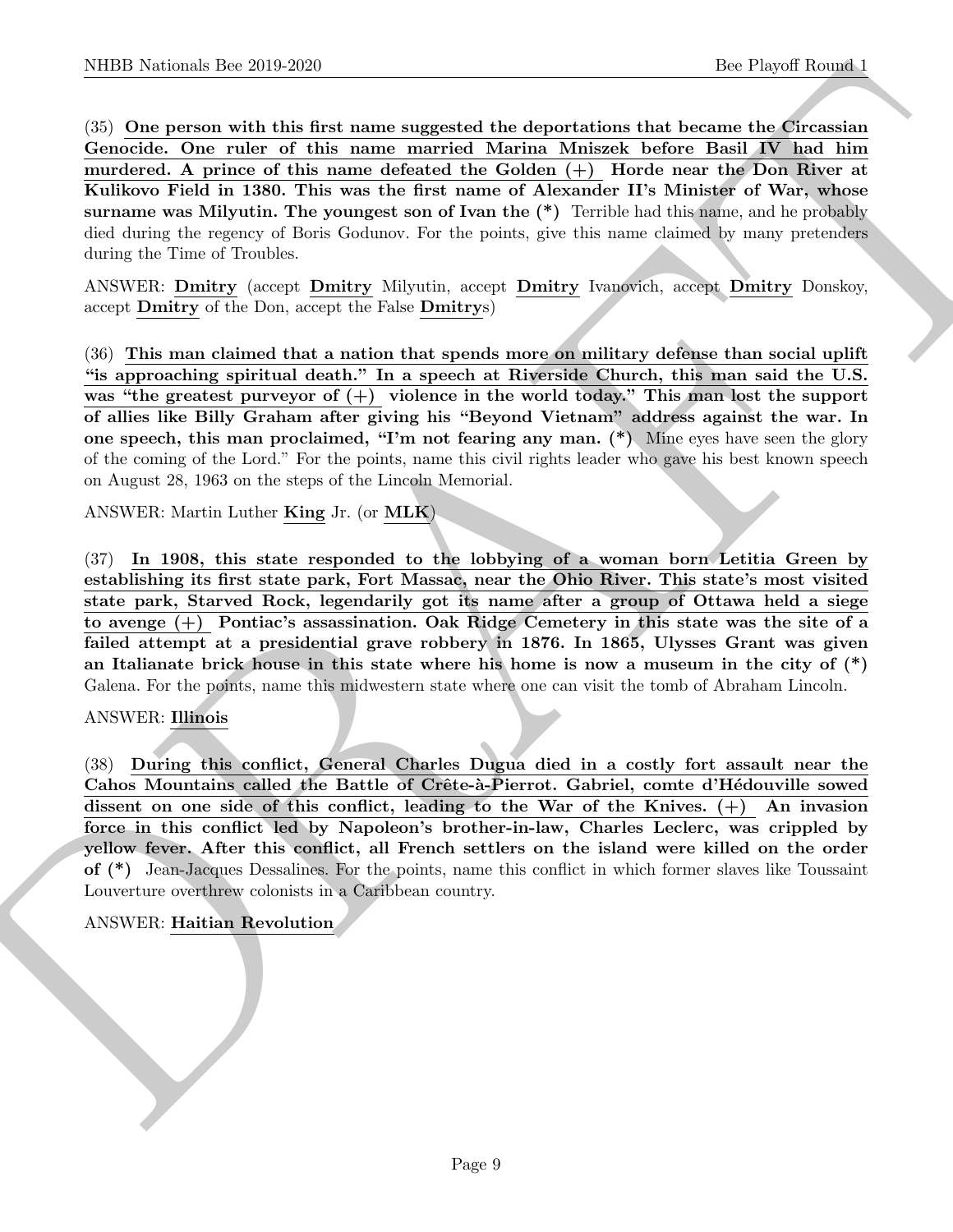(35) One person with this first name suggested the deportations that became the Circassian Genocide. One ruler of this name married Marina Mniszek before Basil IV had him murdered. A prince of this name defeated the Golden  $(+)$  Horde near the Don River at Kulikovo Field in 1380. This was the first name of Alexander II's Minister of War, whose surname was Milyutin. The youngest son of Ivan the  $(*)$  Terrible had this name, and he probably died during the regency of Boris Godunov. For the points, give this name claimed by many pretenders during the Time of Troubles.

ANSWER: Dmitry (accept Dmitry Milyutin, accept Dmitry Ivanovich, accept Dmitry Donskoy, accept Dmitry of the Don, accept the False Dmitrys)

NIBER Noticeals. Der 2019.269<br>
(So Piegori Rooms). Bec Piegori Rooms)<br>
(So Donne presented the tilat manner suggested that donne to the external and the control of the manner of the manner of the manner of Marine Monten a (36) This man claimed that a nation that spends more on military defense than social uplift "is approaching spiritual death." In a speech at Riverside Church, this man said the U.S. was "the greatest purveyor of  $(+)$  violence in the world today." This man lost the support of allies like Billy Graham after giving his "Beyond Vietnam" address against the war. In one speech, this man proclaimed, "I'm not fearing any man. (\*) Mine eyes have seen the glory of the coming of the Lord." For the points, name this civil rights leader who gave his best known speech on August 28, 1963 on the steps of the Lincoln Memorial.

ANSWER: Martin Luther King Jr. (or MLK)

(37) In 1908, this state responded to the lobbying of a woman born Letitia Green by establishing its first state park, Fort Massac, near the Ohio River. This state's most visited state park, Starved Rock, legendarily got its name after a group of Ottawa held a siege to avenge (+) Pontiac's assassination. Oak Ridge Cemetery in this state was the site of a failed attempt at a presidential grave robbery in 1876. In 1865, Ulysses Grant was given an Italianate brick house in this state where his home is now a museum in the city of  $(*)$ Galena. For the points, name this midwestern state where one can visit the tomb of Abraham Lincoln.

# ANSWER: Illinois

(38) During this conflict, General Charles Dugua died in a costly fort assault near the Cahos Mountains called the Battle of Crête-à-Pierrot. Gabriel, comte d'Hédouville sowed dissent on one side of this conflict, leading to the War of the Knives. (+) An invasion force in this conflict led by Napoleon's brother-in-law, Charles Leclerc, was crippled by yellow fever. After this conflict, all French settlers on the island were killed on the order of (\*) Jean-Jacques Dessalines. For the points, name this conflict in which former slaves like Toussaint Louverture overthrew colonists in a Caribbean country.

# ANSWER: Haitian Revolution